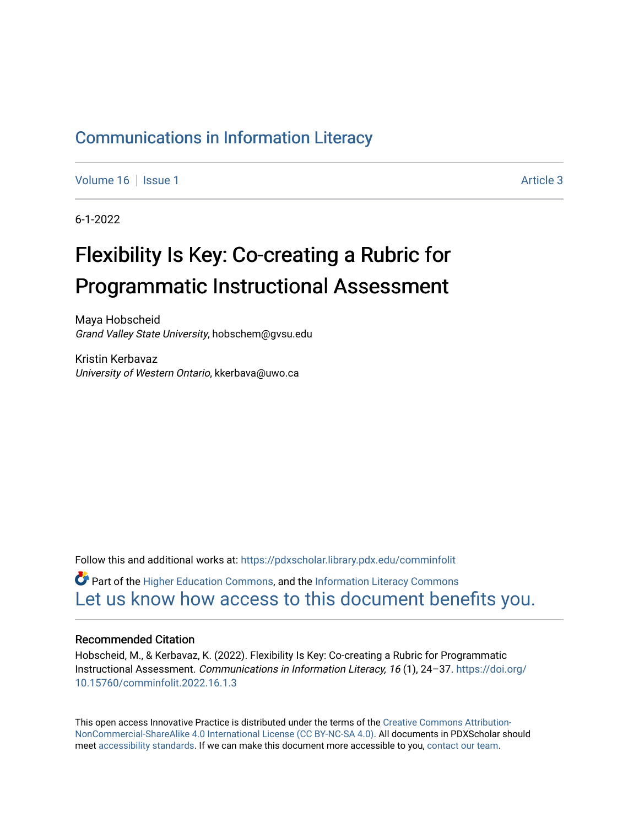# [Communications in Information Literacy](https://pdxscholar.library.pdx.edu/comminfolit)

[Volume 16](https://pdxscholar.library.pdx.edu/comminfolit/vol16) September 19 | [Issue 1](https://pdxscholar.library.pdx.edu/comminfolit/vol16/iss1) Article 3

6-1-2022

# Flexibility Is Key: Co-creating a Rubric for Programmatic Instructional Assessment

Maya Hobscheid Grand Valley State University, hobschem@gvsu.edu

Kristin Kerbavaz University of Western Ontario, kkerbava@uwo.ca

Follow this and additional works at: [https://pdxscholar.library.pdx.edu/comminfolit](https://pdxscholar.library.pdx.edu/comminfolit?utm_source=pdxscholar.library.pdx.edu%2Fcomminfolit%2Fvol16%2Fiss1%2F3&utm_medium=PDF&utm_campaign=PDFCoverPages) 

 $\bullet$  Part of the [Higher Education Commons,](https://network.bepress.com/hgg/discipline/1245?utm_source=pdxscholar.library.pdx.edu%2Fcomminfolit%2Fvol16%2Fiss1%2F3&utm_medium=PDF&utm_campaign=PDFCoverPages) and the Information Literacy Commons [Let us know how access to this document benefits you.](http://library.pdx.edu/services/pdxscholar-services/pdxscholar-feedback/) 

#### Recommended Citation

Hobscheid, M., & Kerbavaz, K. (2022). Flexibility Is Key: Co-creating a Rubric for Programmatic Instructional Assessment. Communications in Information Literacy, 16 (1), 24–37. [https://doi.org/](https://doi.org/10.15760/comminfolit.2022.16.1.3) [10.15760/comminfolit.2022.16.1.3](https://doi.org/10.15760/comminfolit.2022.16.1.3)

This open access Innovative Practice is distributed under the terms of the [Creative Commons Attribution-](https://creativecommons.org/licenses/by-nc-sa/4.0/)[NonCommercial-ShareAlike 4.0 International License \(CC BY-NC-SA 4.0\)](https://creativecommons.org/licenses/by-nc-sa/4.0/). All documents in PDXScholar should meet [accessibility standards](https://pdxscholar.library.pdx.edu/accessibility.html). If we can make this document more accessible to you, [contact our team.](mailto:pdxscholar@pdx.edu)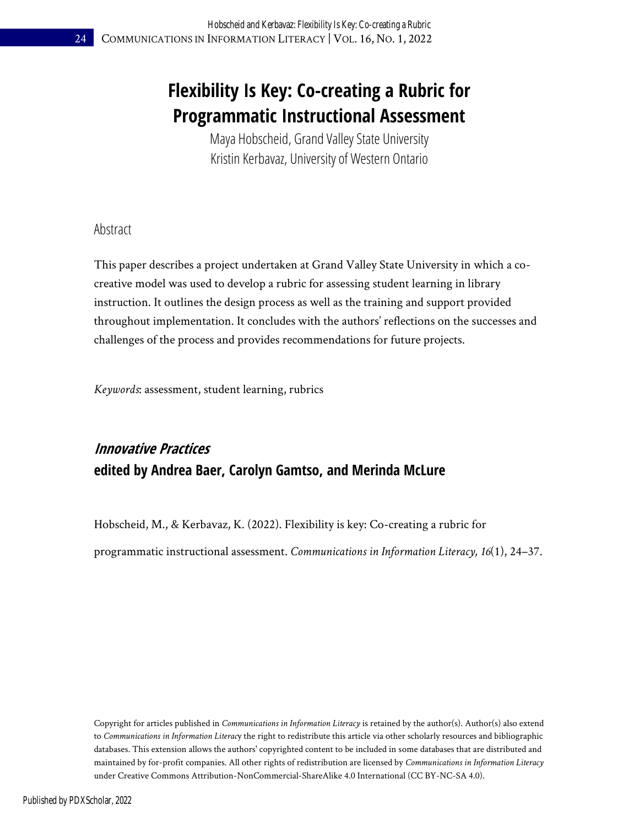# **Flexibility Is Key: Co-creating a Rubric for Programmatic Instructional Assessment**

Maya Hobscheid, Grand Valley State University Kristin Kerbavaz, University of Western Ontario

### Abstract

This paper describes a project undertaken at Grand Valley State University in which a cocreative model was used to develop a rubric for assessing student learning in library instruction. It outlines the design process as well as the training and support provided throughout implementation. It concludes with the authors' reflections on the successes and challenges of the process and provides recommendations for future projects.

*Keywords*: assessment, student learning, rubrics

# **Innovative Practices edited by Andrea Baer, Carolyn Gamtso, and Merinda McLure**

Hobscheid, M., & Kerbavaz, K. (2022). Flexibility is key: Co-creating a rubric for programmatic instructional assessment. *Communications in Information Literacy, 16*(1), 24–37.

Copyright for articles published in *Communications in Information Literacy* is retained by the author(s). Author(s) also extend to *Communications in Information Literac*y the right to redistribute this article via other scholarly resources and bibliographic databases. This extension allows the authors' copyrighted content to be included in some databases that are distributed and maintained by for-profit companies. All other rights of redistribution are licensed by *Communications in Information Literacy* under Creative Commons Attribution-NonCommercial-ShareAlike 4.0 International (CC BY-NC-SA 4.0).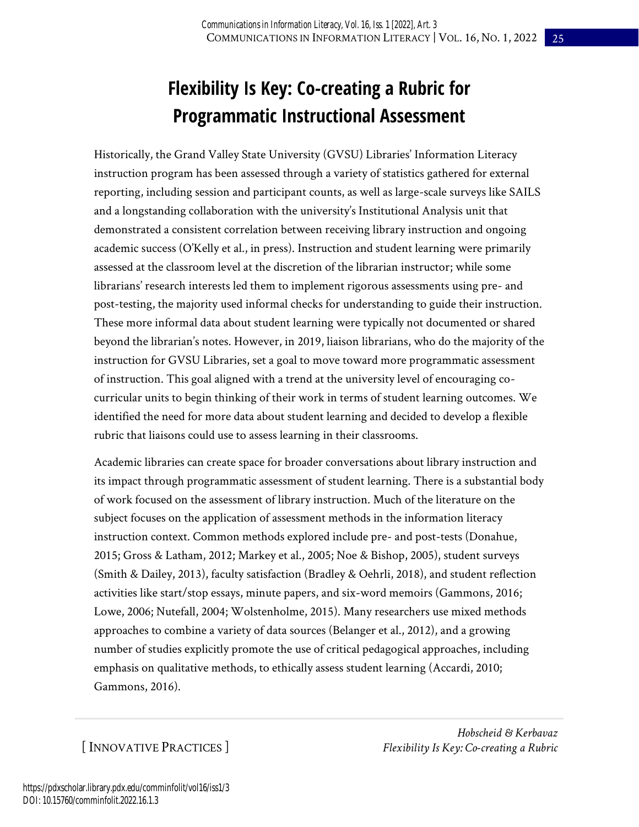# **Flexibility Is Key: Co-creating a Rubric for Programmatic Instructional Assessment**

Historically, the Grand Valley State University (GVSU) Libraries' Information Literacy instruction program has been assessed through a variety of statistics gathered for external reporting, including session and participant counts, as well as large-scale surveys like SAILS and a longstanding collaboration with the university's Institutional Analysis unit that demonstrated a consistent correlation between receiving library instruction and ongoing academic success (O'Kelly et al., in press). Instruction and student learning were primarily assessed at the classroom level at the discretion of the librarian instructor; while some librarians' research interests led them to implement rigorous assessments using pre- and post-testing, the majority used informal checks for understanding to guide their instruction. These more informal data about student learning were typically not documented or shared beyond the librarian's notes. However, in 2019, liaison librarians, who do the majority of the instruction for GVSU Libraries, set a goal to move toward more programmatic assessment of instruction. This goal aligned with a trend at the university level of encouraging cocurricular units to begin thinking of their work in terms of student learning outcomes. We identified the need for more data about student learning and decided to develop a flexible rubric that liaisons could use to assess learning in their classrooms.

Academic libraries can create space for broader conversations about library instruction and its impact through programmatic assessment of student learning. There is a substantial body of work focused on the assessment of library instruction. Much of the literature on the subject focuses on the application of assessment methods in the information literacy instruction context. Common methods explored include pre- and post-tests (Donahue, 2015; Gross & Latham, 2012; Markey et al., 2005; Noe & Bishop, 2005), student surveys (Smith & Dailey, 2013), faculty satisfaction (Bradley & Oehrli, 2018), and student reflection activities like start/stop essays, minute papers, and six-word memoirs (Gammons, 2016; Lowe, 2006; Nutefall, 2004; Wolstenholme, 2015). Many researchers use mixed methods approaches to combine a variety of data sources (Belanger et al., 2012), and a growing number of studies explicitly promote the use of critical pedagogical approaches, including emphasis on qualitative methods, to ethically assess student learning (Accardi, 2010; Gammons, 2016).

[ INNOVATIVE PRACTICES ]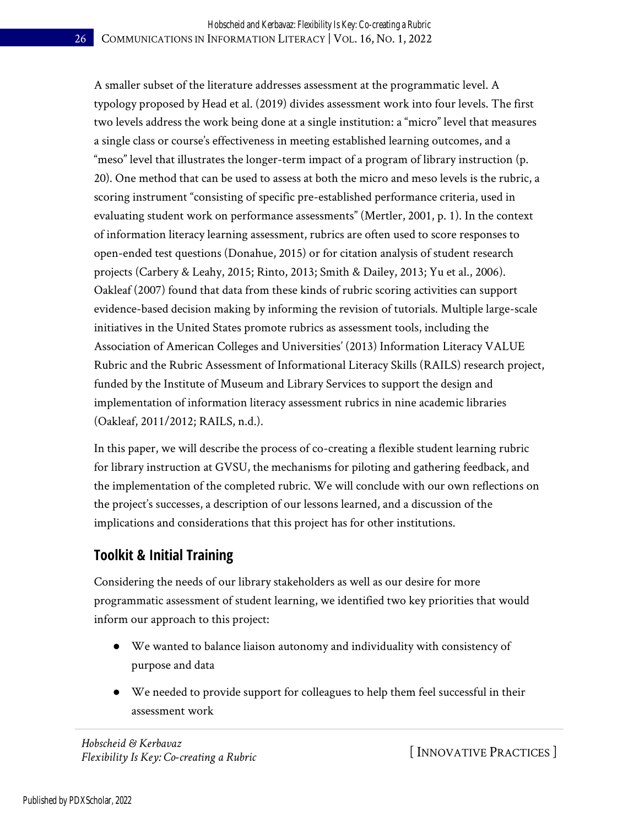A smaller subset of the literature addresses assessment at the programmatic level. A typology proposed by Head et al. (2019) divides assessment work into four levels. The first two levels address the work being done at a single institution: a "micro" level that measures a single class or course's effectiveness in meeting established learning outcomes, and a "meso" level that illustrates the longer-term impact of a program of library instruction (p. 20). One method that can be used to assess at both the micro and meso levels is the rubric, a scoring instrument "consisting of specific pre-established performance criteria, used in evaluating student work on performance assessments" (Mertler, 2001, p. 1). In the context of information literacy learning assessment, rubrics are often used to score responses to open-ended test questions (Donahue, 2015) or for citation analysis of student research projects (Carbery & Leahy, 2015; Rinto, 2013; Smith & Dailey, 2013; Yu et al., 2006). Oakleaf (2007) found that data from these kinds of rubric scoring activities can support evidence-based decision making by informing the revision of tutorials. Multiple large-scale initiatives in the United States promote rubrics as assessment tools, including the Association of American Colleges and Universities' (2013) Information Literacy VALUE Rubric and the Rubric Assessment of Informational Literacy Skills (RAILS) research project, funded by the Institute of Museum and Library Services to support the design and implementation of information literacy assessment rubrics in nine academic libraries (Oakleaf, 2011/2012; RAILS, n.d.).

In this paper, we will describe the process of co-creating a flexible student learning rubric for library instruction at GVSU, the mechanisms for piloting and gathering feedback, and the implementation of the completed rubric. We will conclude with our own reflections on the project's successes, a description of our lessons learned, and a discussion of the implications and considerations that this project has for other institutions.

## **Toolkit & Initial Training**

Considering the needs of our library stakeholders as well as our desire for more programmatic assessment of student learning, we identified two key priorities that would inform our approach to this project:

- We wanted to balance liaison autonomy and individuality with consistency of purpose and data
- We needed to provide support for colleagues to help them feel successful in their assessment work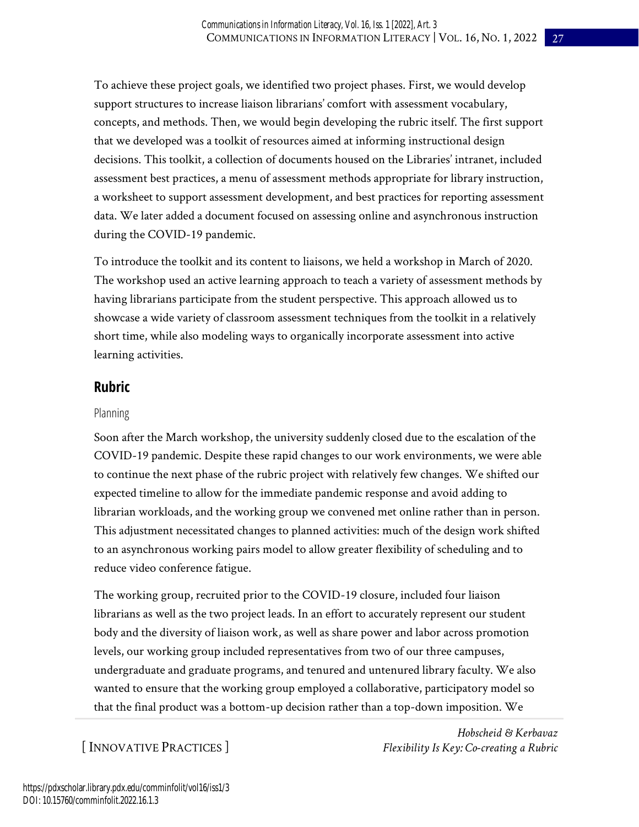To achieve these project goals, we identified two project phases. First, we would develop support structures to increase liaison librarians' comfort with assessment vocabulary, concepts, and methods. Then, we would begin developing the rubric itself. The first support that we developed was a toolkit of resources aimed at informing instructional design decisions. This toolkit, a collection of documents housed on the Libraries' intranet, included assessment best practices, a menu of assessment methods appropriate for library instruction, a worksheet to support assessment development, and best practices for reporting assessment data. We later added a document focused on assessing online and asynchronous instruction during the COVID-19 pandemic.

To introduce the toolkit and its content to liaisons, we held a workshop in March of 2020. The workshop used an active learning approach to teach a variety of assessment methods by having librarians participate from the student perspective. This approach allowed us to showcase a wide variety of classroom assessment techniques from the toolkit in a relatively short time, while also modeling ways to organically incorporate assessment into active learning activities.

### **Rubric**

#### Planning

Soon after the March workshop, the university suddenly closed due to the escalation of the COVID-19 pandemic. Despite these rapid changes to our work environments, we were able to continue the next phase of the rubric project with relatively few changes. We shifted our expected timeline to allow for the immediate pandemic response and avoid adding to librarian workloads, and the working group we convened met online rather than in person. This adjustment necessitated changes to planned activities: much of the design work shifted to an asynchronous working pairs model to allow greater flexibility of scheduling and to reduce video conference fatigue.

The working group, recruited prior to the COVID-19 closure, included four liaison librarians as well as the two project leads. In an effort to accurately represent our student body and the diversity of liaison work, as well as share power and labor across promotion levels, our working group included representatives from two of our three campuses, undergraduate and graduate programs, and tenured and untenured library faculty. We also wanted to ensure that the working group employed a collaborative, participatory model so that the final product was a bottom-up decision rather than a top-down imposition. We

[ INNOVATIVE PRACTICES ]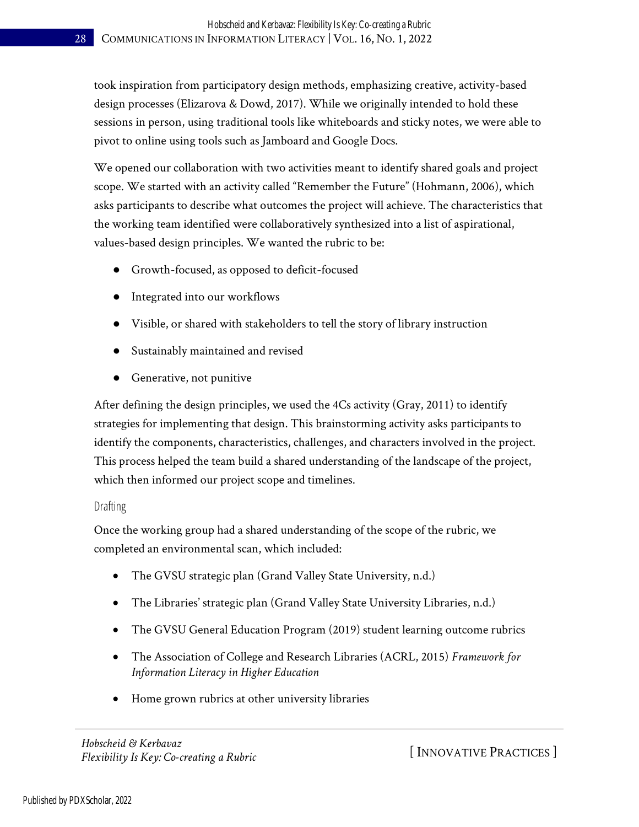took inspiration from participatory design methods, emphasizing creative, activity-based design processes (Elizarova & Dowd, 2017). While we originally intended to hold these sessions in person, using traditional tools like whiteboards and sticky notes, we were able to pivot to online using tools such as Jamboard and Google Docs.

We opened our collaboration with two activities meant to identify shared goals and project scope. We started with an activity called "Remember the Future" (Hohmann, 2006), which asks participants to describe what outcomes the project will achieve. The characteristics that the working team identified were collaboratively synthesized into a list of aspirational, values-based design principles. We wanted the rubric to be:

- Growth-focused, as opposed to deficit-focused
- Integrated into our workflows
- Visible, or shared with stakeholders to tell the story of library instruction
- Sustainably maintained and revised
- Generative, not punitive

After defining the design principles, we used the 4Cs activity (Gray, 2011) to identify strategies for implementing that design. This brainstorming activity asks participants to identify the components, characteristics, challenges, and characters involved in the project. This process helped the team build a shared understanding of the landscape of the project, which then informed our project scope and timelines.

#### Drafting

Once the working group had a shared understanding of the scope of the rubric, we completed an environmental scan, which included:

- The GVSU strategic plan (Grand Valley State University, n.d.)
- The Libraries' strategic plan (Grand Valley State University Libraries, n.d.)
- The GVSU General Education Program (2019) student learning outcome rubrics
- The Association of College and Research Libraries (ACRL, 2015) *Framework for Information Literacy in Higher Education*
- Home grown rubrics at other university libraries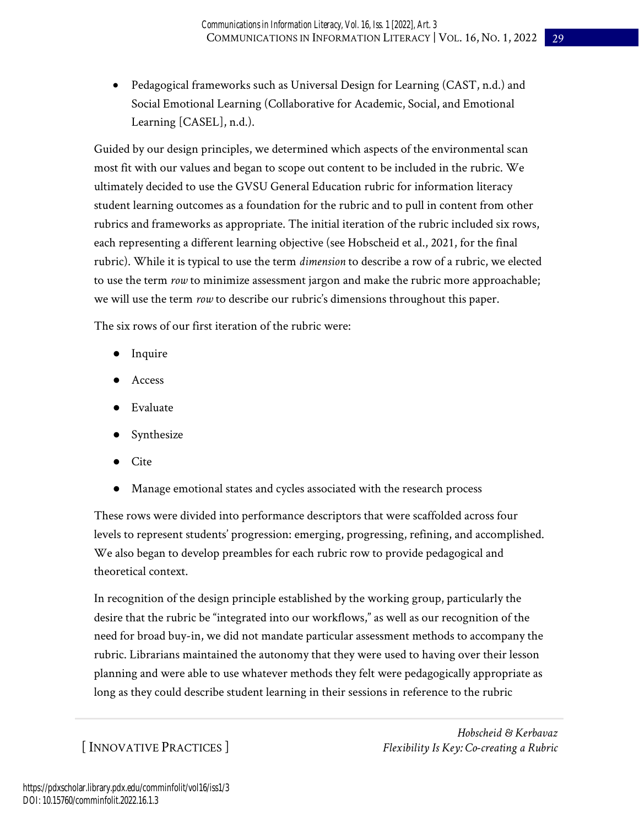• Pedagogical frameworks such as Universal Design for Learning (CAST, n.d.) and Social Emotional Learning (Collaborative for Academic, Social, and Emotional Learning [CASEL], n.d.).

Guided by our design principles, we determined which aspects of the environmental scan most fit with our values and began to scope out content to be included in the rubric. We ultimately decided to use the GVSU General Education rubric for information literacy student learning outcomes as a foundation for the rubric and to pull in content from other rubrics and frameworks as appropriate. The initial iteration of the rubric included six rows, each representing a different learning objective (see Hobscheid et al., 2021, for the final rubric). While it is typical to use the term *dimension* to describe a row of a rubric, we elected to use the term *row* to minimize assessment jargon and make the rubric more approachable; we will use the term *row* to describe our rubric's dimensions throughout this paper.

The six rows of our first iteration of the rubric were:

- Inquire
- Access
- Evaluate
- Synthesize
- Cite
- Manage emotional states and cycles associated with the research process

These rows were divided into performance descriptors that were scaffolded across four levels to represent students' progression: emerging, progressing, refining, and accomplished. We also began to develop preambles for each rubric row to provide pedagogical and theoretical context.

In recognition of the design principle established by the working group, particularly the desire that the rubric be "integrated into our workflows," as well as our recognition of the need for broad buy-in, we did not mandate particular assessment methods to accompany the rubric. Librarians maintained the autonomy that they were used to having over their lesson planning and were able to use whatever methods they felt were pedagogically appropriate as long as they could describe student learning in their sessions in reference to the rubric

[ INNOVATIVE PRACTICES ]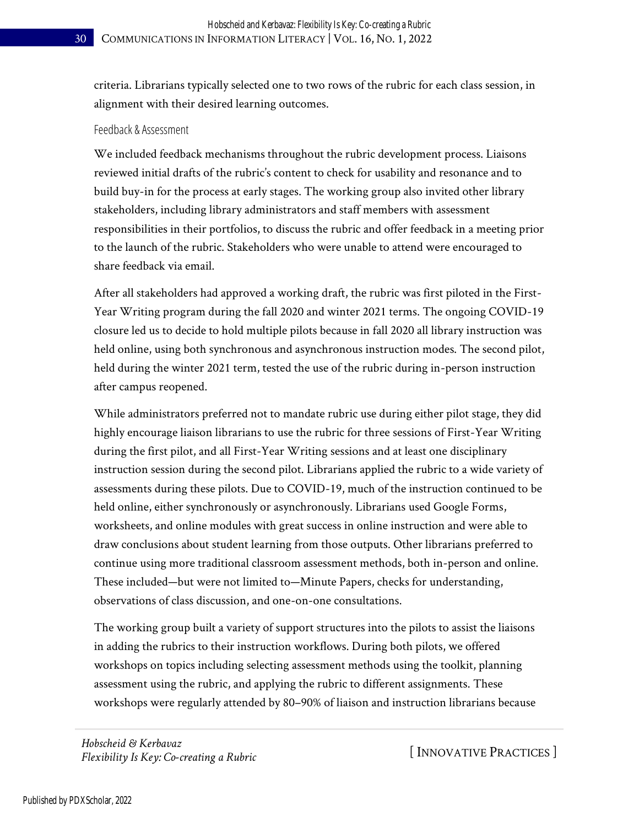criteria. Librarians typically selected one to two rows of the rubric for each class session, in alignment with their desired learning outcomes.

#### Feedback & Assessment

We included feedback mechanisms throughout the rubric development process. Liaisons reviewed initial drafts of the rubric's content to check for usability and resonance and to build buy-in for the process at early stages. The working group also invited other library stakeholders, including library administrators and staff members with assessment responsibilities in their portfolios, to discuss the rubric and offer feedback in a meeting prior to the launch of the rubric. Stakeholders who were unable to attend were encouraged to share feedback via email.

After all stakeholders had approved a working draft, the rubric was first piloted in the First-Year Writing program during the fall 2020 and winter 2021 terms. The ongoing COVID-19 closure led us to decide to hold multiple pilots because in fall 2020 all library instruction was held online, using both synchronous and asynchronous instruction modes. The second pilot, held during the winter 2021 term, tested the use of the rubric during in-person instruction after campus reopened.

While administrators preferred not to mandate rubric use during either pilot stage, they did highly encourage liaison librarians to use the rubric for three sessions of First-Year Writing during the first pilot, and all First-Year Writing sessions and at least one disciplinary instruction session during the second pilot. Librarians applied the rubric to a wide variety of assessments during these pilots. Due to COVID-19, much of the instruction continued to be held online, either synchronously or asynchronously. Librarians used Google Forms, worksheets, and online modules with great success in online instruction and were able to draw conclusions about student learning from those outputs. Other librarians preferred to continue using more traditional classroom assessment methods, both in-person and online. These included—but were not limited to—Minute Papers, checks for understanding, observations of class discussion, and one-on-one consultations.

The working group built a variety of support structures into the pilots to assist the liaisons in adding the rubrics to their instruction workflows. During both pilots, we offered workshops on topics including selecting assessment methods using the toolkit, planning assessment using the rubric, and applying the rubric to different assignments. These workshops were regularly attended by 80–90% of liaison and instruction librarians because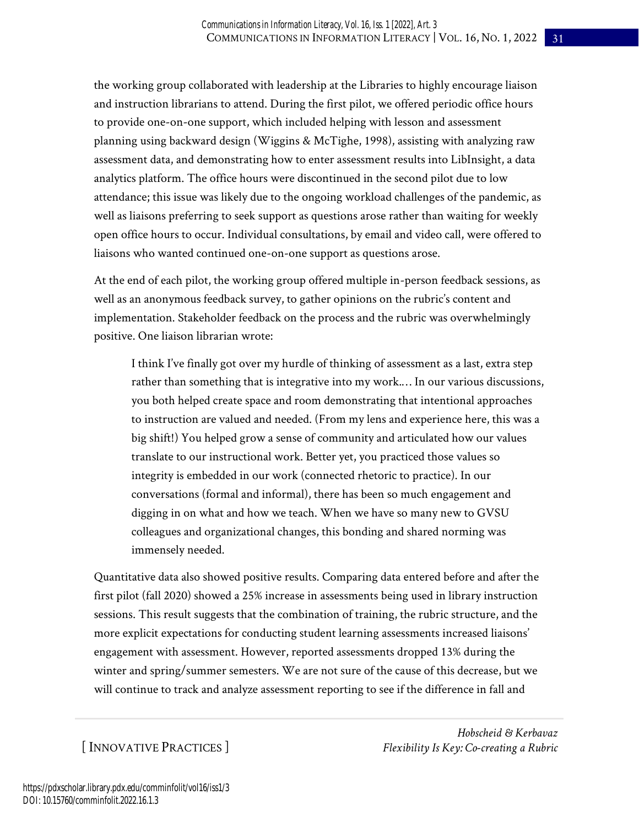the working group collaborated with leadership at the Libraries to highly encourage liaison and instruction librarians to attend. During the first pilot, we offered periodic office hours to provide one-on-one support, which included helping with lesson and assessment planning using backward design (Wiggins & McTighe, 1998), assisting with analyzing raw assessment data, and demonstrating how to enter assessment results into LibInsight, a data analytics platform. The office hours were discontinued in the second pilot due to low attendance; this issue was likely due to the ongoing workload challenges of the pandemic, as well as liaisons preferring to seek support as questions arose rather than waiting for weekly open office hours to occur. Individual consultations, by email and video call, were offered to liaisons who wanted continued one-on-one support as questions arose.

At the end of each pilot, the working group offered multiple in-person feedback sessions, as well as an anonymous feedback survey, to gather opinions on the rubric's content and implementation. Stakeholder feedback on the process and the rubric was overwhelmingly positive. One liaison librarian wrote:

I think I've finally got over my hurdle of thinking of assessment as a last, extra step rather than something that is integrative into my work.… In our various discussions, you both helped create space and room demonstrating that intentional approaches to instruction are valued and needed. (From my lens and experience here, this was a big shift!) You helped grow a sense of community and articulated how our values translate to our instructional work. Better yet, you practiced those values so integrity is embedded in our work (connected rhetoric to practice). In our conversations (formal and informal), there has been so much engagement and digging in on what and how we teach. When we have so many new to GVSU colleagues and organizational changes, this bonding and shared norming was immensely needed.

Quantitative data also showed positive results. Comparing data entered before and after the first pilot (fall 2020) showed a 25% increase in assessments being used in library instruction sessions. This result suggests that the combination of training, the rubric structure, and the more explicit expectations for conducting student learning assessments increased liaisons' engagement with assessment. However, reported assessments dropped 13% during the winter and spring/summer semesters. We are not sure of the cause of this decrease, but we will continue to track and analyze assessment reporting to see if the difference in fall and

[ INNOVATIVE PRACTICES ]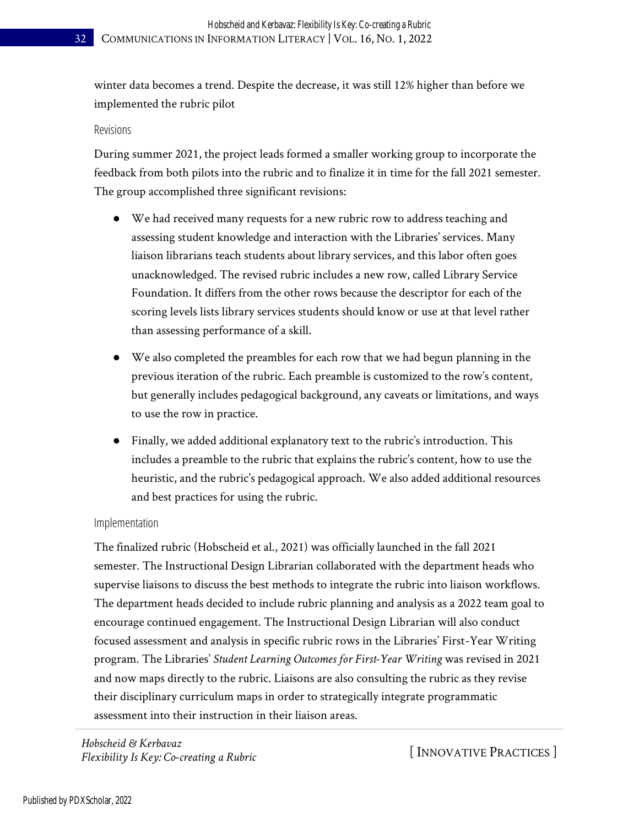winter data becomes a trend. Despite the decrease, it was still 12% higher than before we implemented the rubric pilot

#### Revisions

During summer 2021, the project leads formed a smaller working group to incorporate the feedback from both pilots into the rubric and to finalize it in time for the fall 2021 semester. The group accomplished three significant revisions:

- We had received many requests for a new rubric row to address teaching and assessing student knowledge and interaction with the Libraries' services. Many liaison librarians teach students about library services, and this labor often goes unacknowledged. The revised rubric includes a new row, called Library Service Foundation. It differs from the other rows because the descriptor for each of the scoring levels lists library services students should know or use at that level rather than assessing performance of a skill.
- We also completed the preambles for each row that we had begun planning in the previous iteration of the rubric. Each preamble is customized to the row's content, but generally includes pedagogical background, any caveats or limitations, and ways to use the row in practice.
- Finally, we added additional explanatory text to the rubric's introduction. This includes a preamble to the rubric that explains the rubric's content, how to use the heuristic, and the rubric's pedagogical approach. We also added additional resources and best practices for using the rubric.

#### Implementation

The finalized rubric (Hobscheid et al., 2021) was officially launched in the fall 2021 semester. The Instructional Design Librarian collaborated with the department heads who supervise liaisons to discuss the best methods to integrate the rubric into liaison workflows. The department heads decided to include rubric planning and analysis as a 2022 team goal to encourage continued engagement. The Instructional Design Librarian will also conduct focused assessment and analysis in specific rubric rows in the Libraries' First-Year Writing program. The Libraries' *Student Learning Outcomes for First-Year Writing* was revised in 2021 and now maps directly to the rubric. Liaisons are also consulting the rubric as they revise their disciplinary curriculum maps in order to strategically integrate programmatic assessment into their instruction in their liaison areas.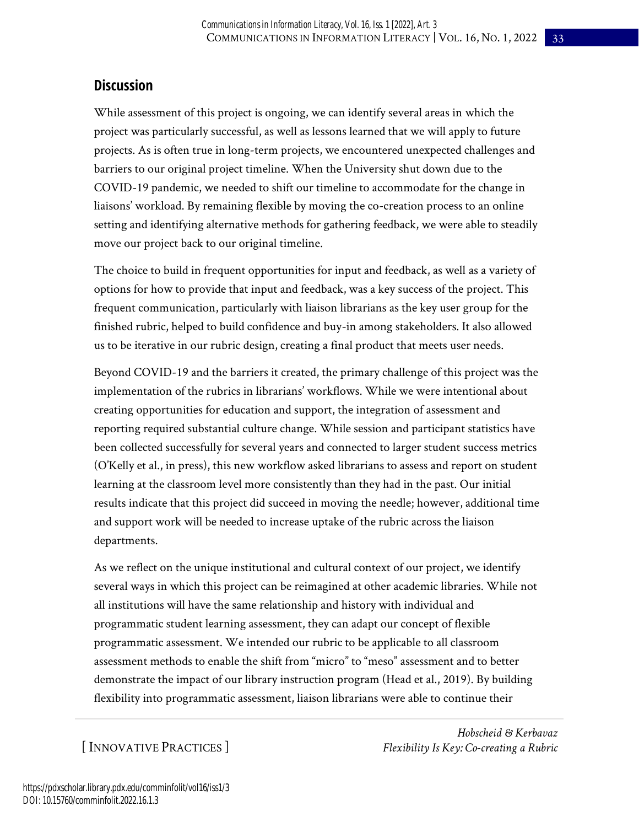## **Discussion**

While assessment of this project is ongoing, we can identify several areas in which the project was particularly successful, as well as lessons learned that we will apply to future projects. As is often true in long-term projects, we encountered unexpected challenges and barriers to our original project timeline. When the University shut down due to the COVID-19 pandemic, we needed to shift our timeline to accommodate for the change in liaisons' workload. By remaining flexible by moving the co-creation process to an online setting and identifying alternative methods for gathering feedback, we were able to steadily move our project back to our original timeline.

The choice to build in frequent opportunities for input and feedback, as well as a variety of options for how to provide that input and feedback, was a key success of the project. This frequent communication, particularly with liaison librarians as the key user group for the finished rubric, helped to build confidence and buy-in among stakeholders. It also allowed us to be iterative in our rubric design, creating a final product that meets user needs.

Beyond COVID-19 and the barriers it created, the primary challenge of this project was the implementation of the rubrics in librarians' workflows. While we were intentional about creating opportunities for education and support, the integration of assessment and reporting required substantial culture change. While session and participant statistics have been collected successfully for several years and connected to larger student success metrics (O'Kelly et al., in press), this new workflow asked librarians to assess and report on student learning at the classroom level more consistently than they had in the past. Our initial results indicate that this project did succeed in moving the needle; however, additional time and support work will be needed to increase uptake of the rubric across the liaison departments.

As we reflect on the unique institutional and cultural context of our project, we identify several ways in which this project can be reimagined at other academic libraries. While not all institutions will have the same relationship and history with individual and programmatic student learning assessment, they can adapt our concept of flexible programmatic assessment. We intended our rubric to be applicable to all classroom assessment methods to enable the shift from "micro" to "meso" assessment and to better demonstrate the impact of our library instruction program (Head et al., 2019). By building flexibility into programmatic assessment, liaison librarians were able to continue their

[ INNOVATIVE PRACTICES ]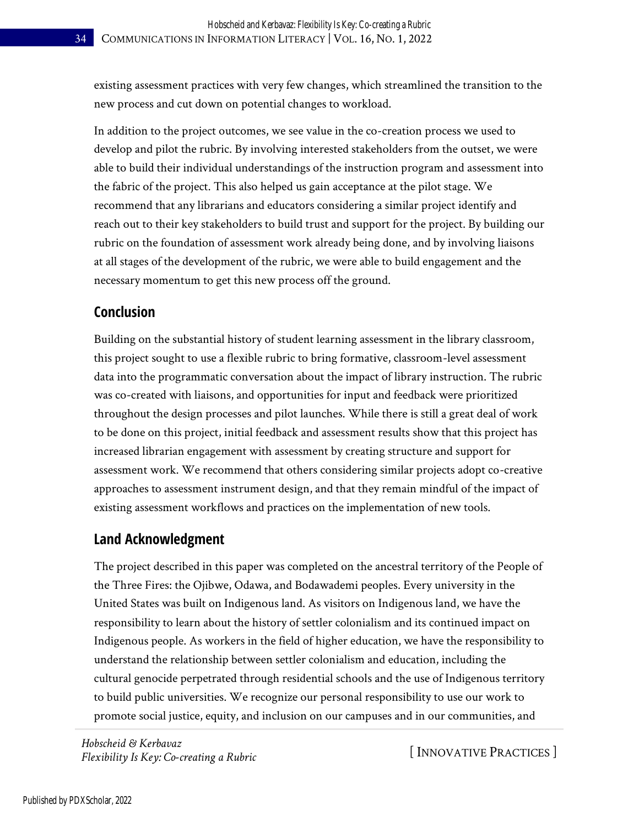existing assessment practices with very few changes, which streamlined the transition to the new process and cut down on potential changes to workload.

In addition to the project outcomes, we see value in the co-creation process we used to develop and pilot the rubric. By involving interested stakeholders from the outset, we were able to build their individual understandings of the instruction program and assessment into the fabric of the project. This also helped us gain acceptance at the pilot stage. We recommend that any librarians and educators considering a similar project identify and reach out to their key stakeholders to build trust and support for the project. By building our rubric on the foundation of assessment work already being done, and by involving liaisons at all stages of the development of the rubric, we were able to build engagement and the necessary momentum to get this new process off the ground.

## **Conclusion**

Building on the substantial history of student learning assessment in the library classroom, this project sought to use a flexible rubric to bring formative, classroom-level assessment data into the programmatic conversation about the impact of library instruction. The rubric was co-created with liaisons, and opportunities for input and feedback were prioritized throughout the design processes and pilot launches. While there is still a great deal of work to be done on this project, initial feedback and assessment results show that this project has increased librarian engagement with assessment by creating structure and support for assessment work. We recommend that others considering similar projects adopt co-creative approaches to assessment instrument design, and that they remain mindful of the impact of existing assessment workflows and practices on the implementation of new tools.

### **Land Acknowledgment**

The project described in this paper was completed on the ancestral territory of the People of the Three Fires: the Ojibwe, Odawa, and Bodawademi peoples. Every university in the United States was built on Indigenous land. As visitors on Indigenous land, we have the responsibility to learn about the history of settler colonialism and its continued impact on Indigenous people. As workers in the field of higher education, we have the responsibility to understand the relationship between settler colonialism and education, including the cultural genocide perpetrated through residential schools and the use of Indigenous territory to build public universities. We recognize our personal responsibility to use our work to promote social justice, equity, and inclusion on our campuses and in our communities, and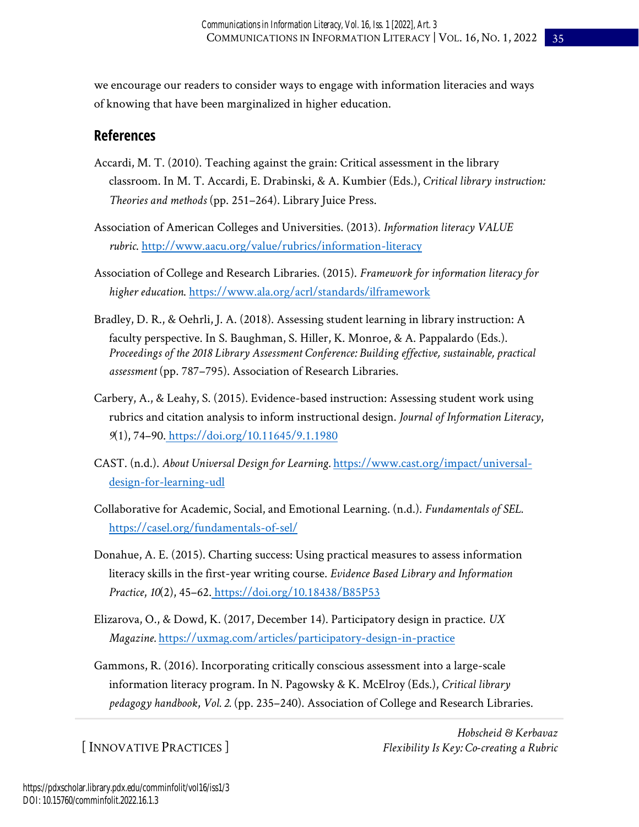we encourage our readers to consider ways to engage with information literacies and ways of knowing that have been marginalized in higher education.

## **References**

- Accardi, M. T. (2010). Teaching against the grain: Critical assessment in the library classroom. In M. T. Accardi, E. Drabinski, & A. Kumbier (Eds.), *Critical library instruction: Theories and methods* (pp. 251–264). Library Juice Press.
- Association of American Colleges and Universities. (2013). *Information literacy VALUE rubric*[. http://www.aacu.org/value/rubrics/information-literacy](http://www.aacu.org/value/rubrics/information-literacy)
- Association of College and Research Libraries. (2015). *Framework for information literacy for higher education*.<https://www.ala.org/acrl/standards/ilframework>
- Bradley, D. R., & Oehrli, J. A. (2018). Assessing student learning in library instruction: A faculty perspective. In S. Baughman, S. Hiller, K. Monroe, & A. Pappalardo (Eds.). *Proceedings of the 2018 Library Assessment Conference: Building effective, sustainable, practical assessment* (pp. 787–795). Association of Research Libraries.
- Carbery, A., & Leahy, S. (2015). Evidence-based instruction: Assessing student work using rubrics and citation analysis to inform instructional design. *Journal of Information Literacy*, *9*(1), 74–90. <https://doi.org/10.11645/9.1.1980>
- CAST. (n.d.). *About Universal Design for Learning.* [https://www.cast.org/impact/universal](https://www.cast.org/impact/universal-design-for-learning-udl)[design-for-learning-udl](https://www.cast.org/impact/universal-design-for-learning-udl)
- Collaborative for Academic, Social, and Emotional Learning. (n.d.). *Fundamentals of SEL.*  <https://casel.org/fundamentals-of-sel/>
- Donahue, A. E. (2015). Charting success: Using practical measures to assess information literacy skills in the first-year writing course. *Evidence Based Library and Information Practice*, *10*(2), 45–62. <https://doi.org/10.18438/B85P53>
- Elizarova, O., & Dowd, K. (2017, December 14). Participatory design in practice. *UX Magazine.* <https://uxmag.com/articles/participatory-design-in-practice>
- Gammons, R. (2016). Incorporating critically conscious assessment into a large-scale information literacy program. In N. Pagowsky & K. McElroy (Eds.), *Critical library pedagogy handbook*, *Vol. 2.* (pp. 235–240). Association of College and Research Libraries.

[ INNOVATIVE PRACTICES ]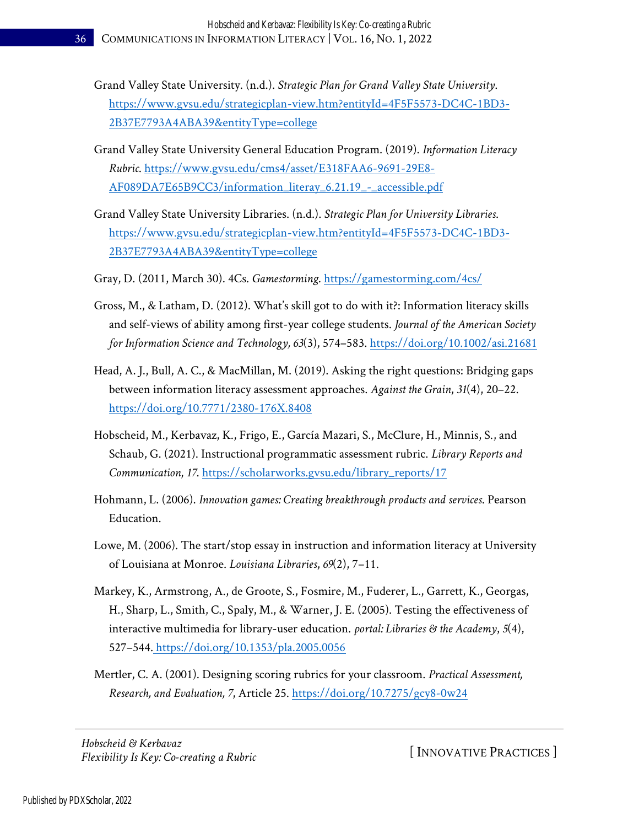- Grand Valley State University. (n.d.). *Strategic Plan for Grand Valley State University*. [https://www.gvsu.edu/strategicplan-view.htm?entityId=4F5F5573-DC4C-1BD3-](https://www.gvsu.edu/strategicplan-view.htm?entityId=4F5F5573-DC4C-1BD3-2B37E7793A4ABA39&entityType=college) [2B37E7793A4ABA39&entityType=college](https://www.gvsu.edu/strategicplan-view.htm?entityId=4F5F5573-DC4C-1BD3-2B37E7793A4ABA39&entityType=college)
- Grand Valley State University General Education Program. (2019). *Information Literacy Rubric*. [https://www.gvsu.edu/cms4/asset/E318FAA6-9691-29E8-](https://www.gvsu.edu/cms4/asset/E318FAA6-9691-29E8-AF089DA7E65B9CC3/information_literay_6.21.19_-_accessible.pdf) [AF089DA7E65B9CC3/information\\_literay\\_6.21.19\\_-\\_accessible.pdf](https://www.gvsu.edu/cms4/asset/E318FAA6-9691-29E8-AF089DA7E65B9CC3/information_literay_6.21.19_-_accessible.pdf)
- Grand Valley State University Libraries. (n.d.). *Strategic Plan for University Libraries*. [https://www.gvsu.edu/strategicplan-view.htm?entityId=4F5F5573-DC4C-1BD3-](https://www.gvsu.edu/strategicplan-view.htm?entityId=4F5F5573-DC4C-1BD3-2B37E7793A4ABA39&entityType=college) [2B37E7793A4ABA39&entityType=college](https://www.gvsu.edu/strategicplan-view.htm?entityId=4F5F5573-DC4C-1BD3-2B37E7793A4ABA39&entityType=college)
- Gray, D. (2011, March 30). 4Cs. *Gamestorming*.<https://gamestorming.com/4cs/>
- Gross, M., & Latham, D. (2012). What's skill got to do with it?: Information literacy skills and self-views of ability among first-year college students. *Journal of the American Society for Information Science and Technology, 63*(3), 574–583.<https://doi.org/10.1002/asi.21681>
- Head, A. J., Bull, A. C., & MacMillan, M. (2019). Asking the right questions: Bridging gaps between information literacy assessment approaches. *Against the Grain*, *31*(4), 20–22[.](https://d.docs.live.net/b00a07dc5ec5e16e/Documents/CIL%20Articles/16.1/IP%20Hobscheid%20Kerbavaz/) <https://doi.org/10.7771/2380-176X.8408>
- Hobscheid, M., Kerbavaz, K., Frigo, E., García Mazari, S., McClure, H., Minnis, S., and Schaub, G. (2021). Instructional programmatic assessment rubric. *Library Reports and Communication*, *17*[. https://scholarworks.gvsu.edu/library\\_reports/17](https://scholarworks.gvsu.edu/library_reports/17)
- Hohmann, L. (2006). *Innovation games: Creating breakthrough products and services*. Pearson Education.
- Lowe, M. (2006). The start/stop essay in instruction and information literacy at University of Louisiana at Monroe. *Louisiana Libraries*, *69*(2), 7–11[.](http://ezproxy.gvsu.edu/login?url=http://search.ebscohost.com/login.aspx?direct=true&db=lls&AN=502894106&site=ehost-live&scope=site)
- Markey, K., Armstrong, A., de Groote, S., Fosmire, M., Fuderer, L., Garrett, K., Georgas, H., Sharp, L., Smith, C., Spaly, M., & Warner, J. E. (2005). Testing the effectiveness of interactive multimedia for library-user education. *portal: Libraries & the Academy*, *5*(4), 527–544. <https://doi.org/10.1353/pla.2005.0056>
- Mertler, C. A. (2001). Designing scoring rubrics for your classroom. *Practical Assessment, Research, and Evaluation, 7*, Article 25.<https://doi.org/10.7275/gcy8-0w24>